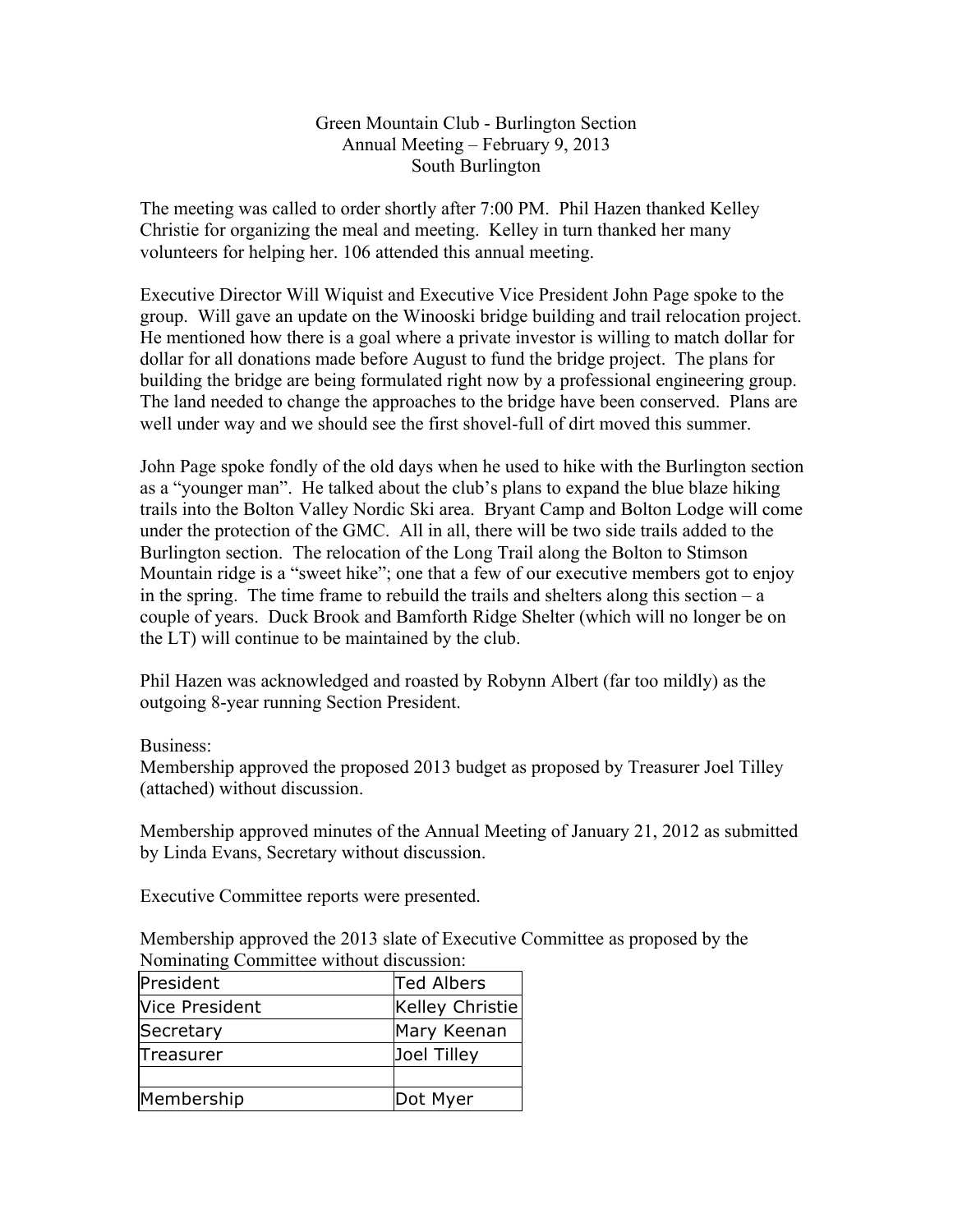Green Mountain Club - Burlington Section Annual Meeting – February 9, 2013 South Burlington

The meeting was called to order shortly after 7:00 PM. Phil Hazen thanked Kelley Christie for organizing the meal and meeting. Kelley in turn thanked her many volunteers for helping her. 106 attended this annual meeting.

Executive Director Will Wiquist and Executive Vice President John Page spoke to the group. Will gave an update on the Winooski bridge building and trail relocation project. He mentioned how there is a goal where a private investor is willing to match dollar for dollar for all donations made before August to fund the bridge project. The plans for building the bridge are being formulated right now by a professional engineering group. The land needed to change the approaches to the bridge have been conserved. Plans are well under way and we should see the first shovel-full of dirt moved this summer.

John Page spoke fondly of the old days when he used to hike with the Burlington section as a "younger man". He talked about the club's plans to expand the blue blaze hiking trails into the Bolton Valley Nordic Ski area. Bryant Camp and Bolton Lodge will come under the protection of the GMC. All in all, there will be two side trails added to the Burlington section. The relocation of the Long Trail along the Bolton to Stimson Mountain ridge is a "sweet hike"; one that a few of our executive members got to enjoy in the spring. The time frame to rebuild the trails and shelters along this section  $-a$ couple of years. Duck Brook and Bamforth Ridge Shelter (which will no longer be on the LT) will continue to be maintained by the club.

Phil Hazen was acknowledged and roasted by Robynn Albert (far too mildly) as the outgoing 8-year running Section President.

## Business:

Membership approved the proposed 2013 budget as proposed by Treasurer Joel Tilley (attached) without discussion.

Membership approved minutes of the Annual Meeting of January 21, 2012 as submitted by Linda Evans, Secretary without discussion.

Executive Committee reports were presented.

Membership approved the 2013 slate of Executive Committee as proposed by the Nominating Committee without discussion:

| President      | Ted Albers      |
|----------------|-----------------|
| Vice President | Kelley Christie |
| Secretary      | Mary Keenan     |
| Treasurer      | Joel Tilley     |
|                |                 |
| Membership     | Dot Myer        |